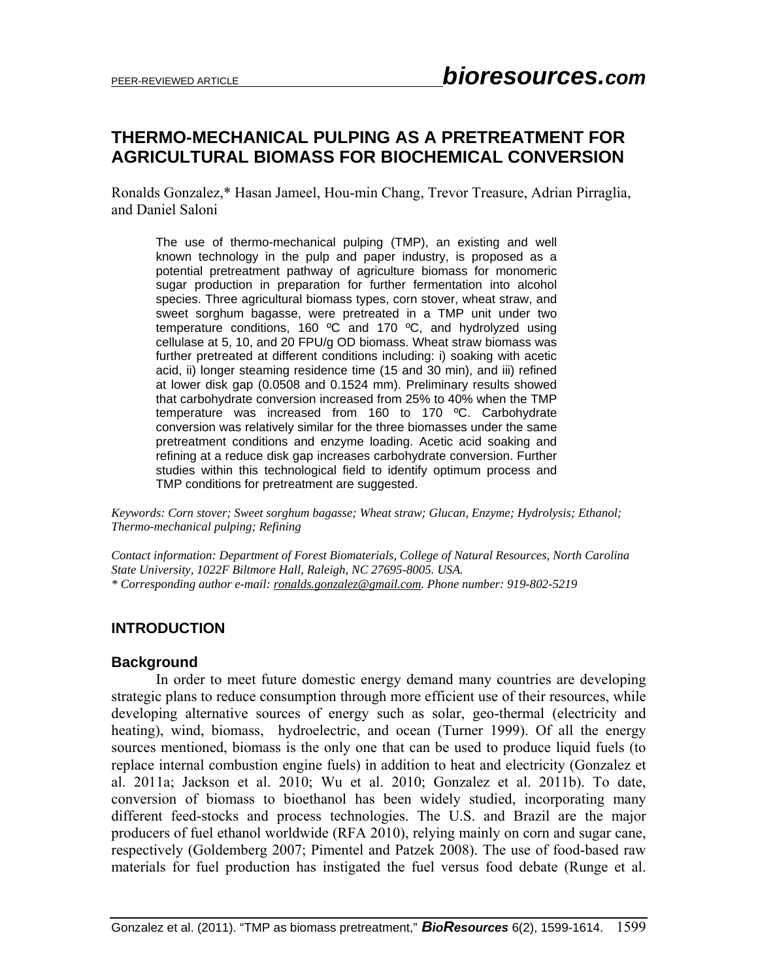# **THERMO-MECHANICAL PULPING AS A PRETREATMENT FOR AGRICULTURAL BIOMASS FOR BIOCHEMICAL CONVERSION**

Ronalds Gonzalez,\* Hasan Jameel, Hou-min Chang, Trevor Treasure, Adrian Pirraglia, and Daniel Saloni

The use of thermo-mechanical pulping (TMP), an existing and well known technology in the pulp and paper industry, is proposed as a potential pretreatment pathway of agriculture biomass for monomeric sugar production in preparation for further fermentation into alcohol species. Three agricultural biomass types, corn stover, wheat straw, and sweet sorghum bagasse, were pretreated in a TMP unit under two temperature conditions, 160 ºC and 170 ºC, and hydrolyzed using cellulase at 5, 10, and 20 FPU/g OD biomass. Wheat straw biomass was further pretreated at different conditions including: i) soaking with acetic acid, ii) longer steaming residence time (15 and 30 min), and iii) refined at lower disk gap (0.0508 and 0.1524 mm). Preliminary results showed that carbohydrate conversion increased from 25% to 40% when the TMP temperature was increased from 160 to 170 ºC. Carbohydrate conversion was relatively similar for the three biomasses under the same pretreatment conditions and enzyme loading. Acetic acid soaking and refining at a reduce disk gap increases carbohydrate conversion. Further studies within this technological field to identify optimum process and TMP conditions for pretreatment are suggested.

*Keywords: Corn stover; Sweet sorghum bagasse; Wheat straw; Glucan, Enzyme; Hydrolysis; Ethanol; Thermo-mechanical pulping; Refining* 

*Contact information: Department of Forest Biomaterials, College of Natural Resources, North Carolina State University, 1022F Biltmore Hall, Raleigh, NC 27695-8005. USA. \* Corresponding author e-mail: ronalds.gonzalez@gmail.com. Phone number: 919-802-5219* 

#### **INTRODUCTION**

#### **Background**

 In order to meet future domestic energy demand many countries are developing strategic plans to reduce consumption through more efficient use of their resources, while developing alternative sources of energy such as solar, geo-thermal (electricity and heating), wind, biomass, hydroelectric, and ocean (Turner 1999). Of all the energy sources mentioned, biomass is the only one that can be used to produce liquid fuels (to replace internal combustion engine fuels) in addition to heat and electricity (Gonzalez et al. 2011a; Jackson et al. 2010; Wu et al. 2010; Gonzalez et al. 2011b). To date, conversion of biomass to bioethanol has been widely studied, incorporating many different feed-stocks and process technologies. The U.S. and Brazil are the major producers of fuel ethanol worldwide (RFA 2010), relying mainly on corn and sugar cane, respectively (Goldemberg 2007; Pimentel and Patzek 2008). The use of food-based raw materials for fuel production has instigated the fuel versus food debate (Runge et al.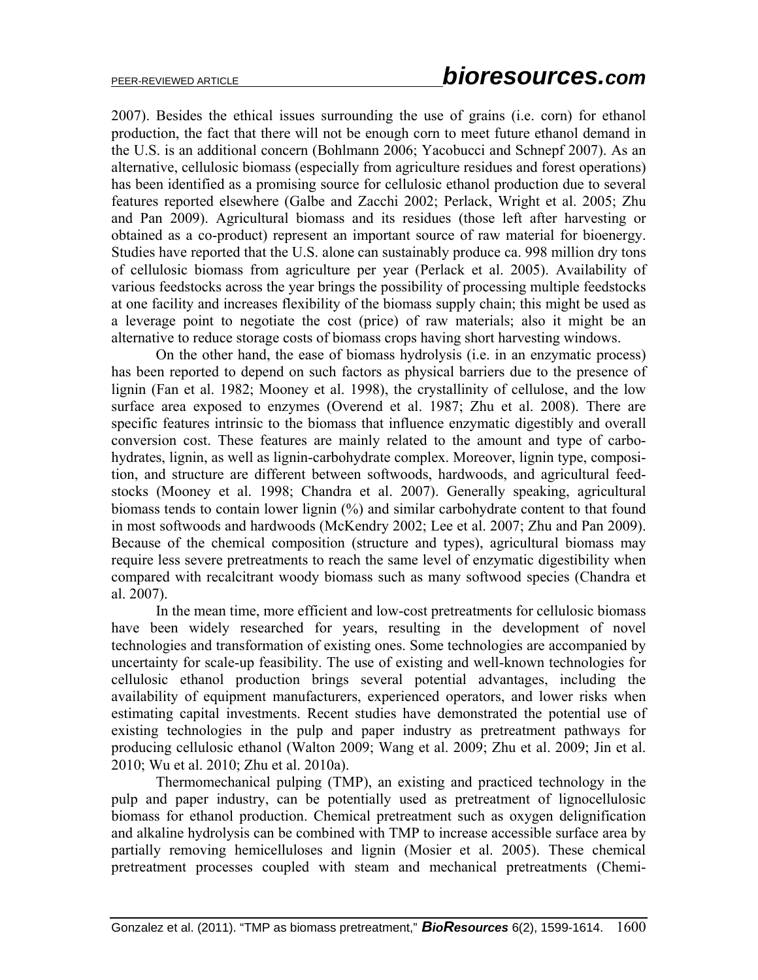2007). Besides the ethical issues surrounding the use of grains (i.e. corn) for ethanol production, the fact that there will not be enough corn to meet future ethanol demand in the U.S. is an additional concern (Bohlmann 2006; Yacobucci and Schnepf 2007). As an alternative, cellulosic biomass (especially from agriculture residues and forest operations) has been identified as a promising source for cellulosic ethanol production due to several features reported elsewhere (Galbe and Zacchi 2002; Perlack, Wright et al. 2005; Zhu and Pan 2009). Agricultural biomass and its residues (those left after harvesting or obtained as a co-product) represent an important source of raw material for bioenergy. Studies have reported that the U.S. alone can sustainably produce ca. 998 million dry tons of cellulosic biomass from agriculture per year (Perlack et al. 2005). Availability of various feedstocks across the year brings the possibility of processing multiple feedstocks at one facility and increases flexibility of the biomass supply chain; this might be used as a leverage point to negotiate the cost (price) of raw materials; also it might be an alternative to reduce storage costs of biomass crops having short harvesting windows.

On the other hand, the ease of biomass hydrolysis (i.e. in an enzymatic process) has been reported to depend on such factors as physical barriers due to the presence of lignin (Fan et al. 1982; Mooney et al. 1998), the crystallinity of cellulose, and the low surface area exposed to enzymes (Overend et al. 1987; Zhu et al. 2008). There are specific features intrinsic to the biomass that influence enzymatic digestibly and overall conversion cost. These features are mainly related to the amount and type of carbohydrates, lignin, as well as lignin-carbohydrate complex. Moreover, lignin type, composition, and structure are different between softwoods, hardwoods, and agricultural feedstocks (Mooney et al. 1998; Chandra et al. 2007). Generally speaking, agricultural biomass tends to contain lower lignin (%) and similar carbohydrate content to that found in most softwoods and hardwoods (McKendry 2002; Lee et al. 2007; Zhu and Pan 2009). Because of the chemical composition (structure and types), agricultural biomass may require less severe pretreatments to reach the same level of enzymatic digestibility when compared with recalcitrant woody biomass such as many softwood species (Chandra et al. 2007).

In the mean time, more efficient and low-cost pretreatments for cellulosic biomass have been widely researched for years, resulting in the development of novel technologies and transformation of existing ones. Some technologies are accompanied by uncertainty for scale-up feasibility. The use of existing and well-known technologies for cellulosic ethanol production brings several potential advantages, including the availability of equipment manufacturers, experienced operators, and lower risks when estimating capital investments. Recent studies have demonstrated the potential use of existing technologies in the pulp and paper industry as pretreatment pathways for producing cellulosic ethanol (Walton 2009; Wang et al. 2009; Zhu et al. 2009; Jin et al. 2010; Wu et al. 2010; Zhu et al. 2010a).

 Thermomechanical pulping (TMP), an existing and practiced technology in the pulp and paper industry, can be potentially used as pretreatment of lignocellulosic biomass for ethanol production. Chemical pretreatment such as oxygen delignification and alkaline hydrolysis can be combined with TMP to increase accessible surface area by partially removing hemicelluloses and lignin (Mosier et al. 2005). These chemical pretreatment processes coupled with steam and mechanical pretreatments (Chemi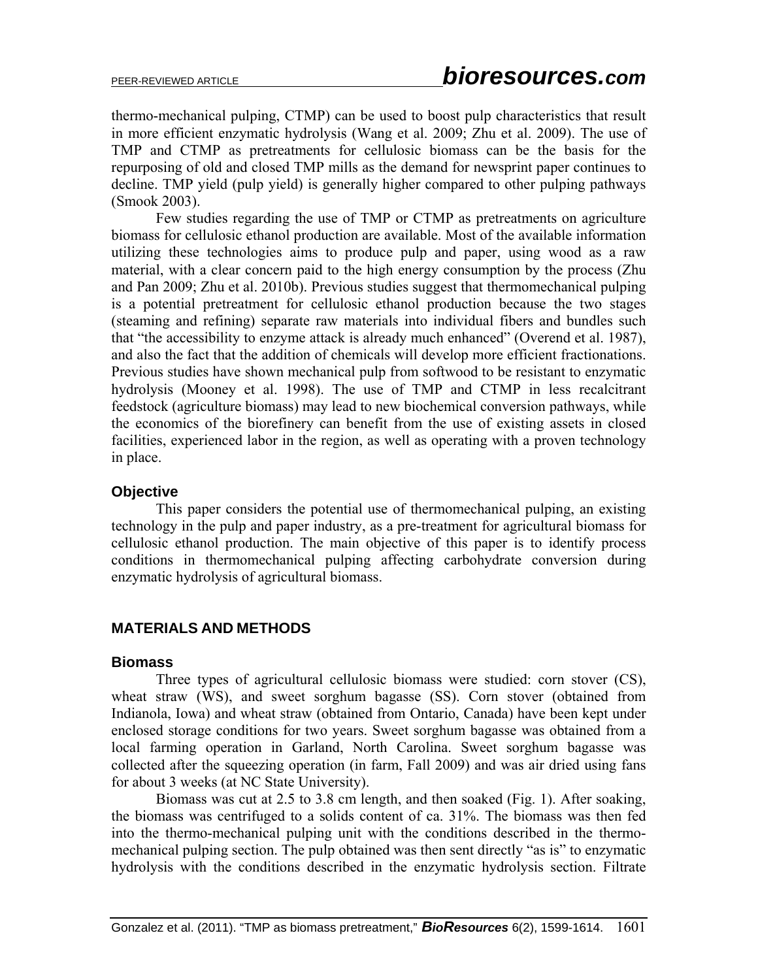thermo-mechanical pulping, CTMP) can be used to boost pulp characteristics that result in more efficient enzymatic hydrolysis (Wang et al. 2009; Zhu et al. 2009). The use of TMP and CTMP as pretreatments for cellulosic biomass can be the basis for the repurposing of old and closed TMP mills as the demand for newsprint paper continues to decline. TMP yield (pulp yield) is generally higher compared to other pulping pathways (Smook 2003).

 Few studies regarding the use of TMP or CTMP as pretreatments on agriculture biomass for cellulosic ethanol production are available. Most of the available information utilizing these technologies aims to produce pulp and paper, using wood as a raw material, with a clear concern paid to the high energy consumption by the process (Zhu and Pan 2009; Zhu et al. 2010b). Previous studies suggest that thermomechanical pulping is a potential pretreatment for cellulosic ethanol production because the two stages (steaming and refining) separate raw materials into individual fibers and bundles such that "the accessibility to enzyme attack is already much enhanced" (Overend et al. 1987), and also the fact that the addition of chemicals will develop more efficient fractionations. Previous studies have shown mechanical pulp from softwood to be resistant to enzymatic hydrolysis (Mooney et al. 1998). The use of TMP and CTMP in less recalcitrant feedstock (agriculture biomass) may lead to new biochemical conversion pathways, while the economics of the biorefinery can benefit from the use of existing assets in closed facilities, experienced labor in the region, as well as operating with a proven technology in place.

### **Objective**

 This paper considers the potential use of thermomechanical pulping, an existing technology in the pulp and paper industry, as a pre-treatment for agricultural biomass for cellulosic ethanol production. The main objective of this paper is to identify process conditions in thermomechanical pulping affecting carbohydrate conversion during enzymatic hydrolysis of agricultural biomass.

# **MATERIALS AND METHODS**

#### **Biomass**

 Three types of agricultural cellulosic biomass were studied: corn stover (CS), wheat straw (WS), and sweet sorghum bagasse (SS). Corn stover (obtained from Indianola, Iowa) and wheat straw (obtained from Ontario, Canada) have been kept under enclosed storage conditions for two years. Sweet sorghum bagasse was obtained from a local farming operation in Garland, North Carolina. Sweet sorghum bagasse was collected after the squeezing operation (in farm, Fall 2009) and was air dried using fans for about 3 weeks (at NC State University).

 Biomass was cut at 2.5 to 3.8 cm length, and then soaked (Fig. 1). After soaking, the biomass was centrifuged to a solids content of ca. 31%. The biomass was then fed into the thermo-mechanical pulping unit with the conditions described in the thermomechanical pulping section. The pulp obtained was then sent directly "as is" to enzymatic hydrolysis with the conditions described in the enzymatic hydrolysis section. Filtrate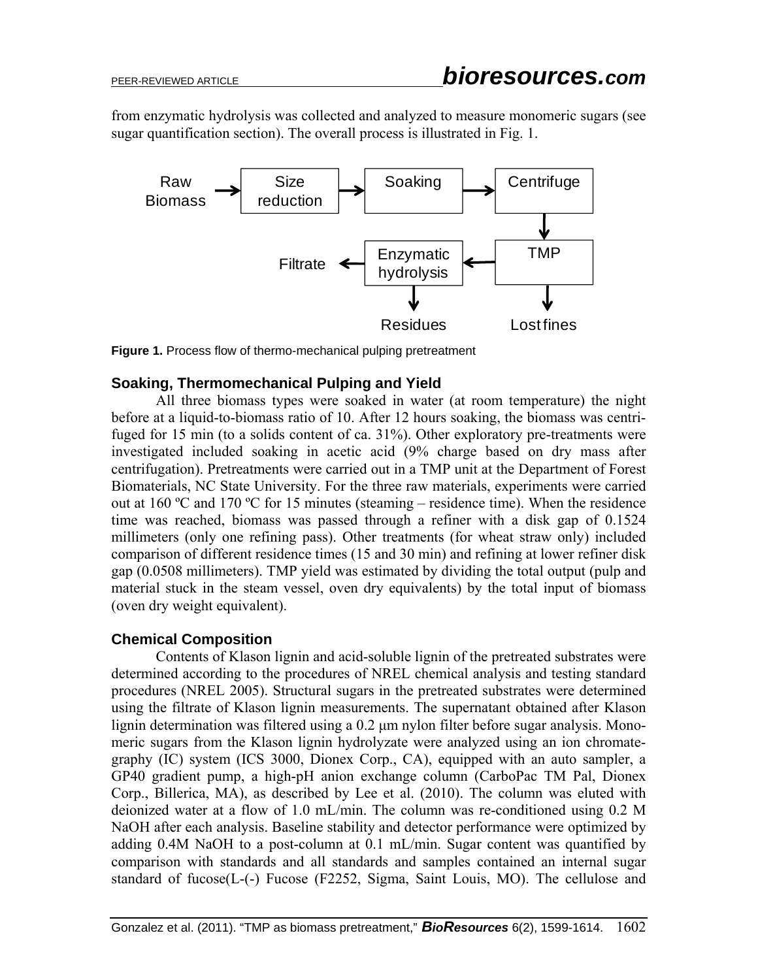from enzymatic hydrolysis was collected and analyzed to measure monomeric sugars (see sugar quantification section). The overall process is illustrated in Fig. 1.





### **Soaking, Thermomechanical Pulping and Yield**

 All three biomass types were soaked in water (at room temperature) the night before at a liquid-to-biomass ratio of 10. After 12 hours soaking, the biomass was centrifuged for 15 min (to a solids content of ca. 31%). Other exploratory pre-treatments were investigated included soaking in acetic acid (9% charge based on dry mass after centrifugation). Pretreatments were carried out in a TMP unit at the Department of Forest Biomaterials, NC State University. For the three raw materials, experiments were carried out at 160 ºC and 170 ºC for 15 minutes (steaming – residence time). When the residence time was reached, biomass was passed through a refiner with a disk gap of 0.1524 millimeters (only one refining pass). Other treatments (for wheat straw only) included comparison of different residence times (15 and 30 min) and refining at lower refiner disk gap (0.0508 millimeters). TMP yield was estimated by dividing the total output (pulp and material stuck in the steam vessel, oven dry equivalents) by the total input of biomass (oven dry weight equivalent).

### **Chemical Composition**

 Contents of Klason lignin and acid-soluble lignin of the pretreated substrates were determined according to the procedures of NREL chemical analysis and testing standard procedures (NREL 2005). Structural sugars in the pretreated substrates were determined using the filtrate of Klason lignin measurements. The supernatant obtained after Klason lignin determination was filtered using a 0.2 μm nylon filter before sugar analysis. Monomeric sugars from the Klason lignin hydrolyzate were analyzed using an ion chromategraphy (IC) system (ICS 3000, Dionex Corp., CA), equipped with an auto sampler, a GP40 gradient pump, a high-pH anion exchange column (CarboPac TM Pal, Dionex Corp., Billerica, MA), as described by Lee et al. (2010). The column was eluted with deionized water at a flow of 1.0 mL/min. The column was re-conditioned using 0.2 M NaOH after each analysis. Baseline stability and detector performance were optimized by adding 0.4M NaOH to a post-column at 0.1 mL/min. Sugar content was quantified by comparison with standards and all standards and samples contained an internal sugar standard of fucose(L-(-) Fucose (F2252, Sigma, Saint Louis, MO). The cellulose and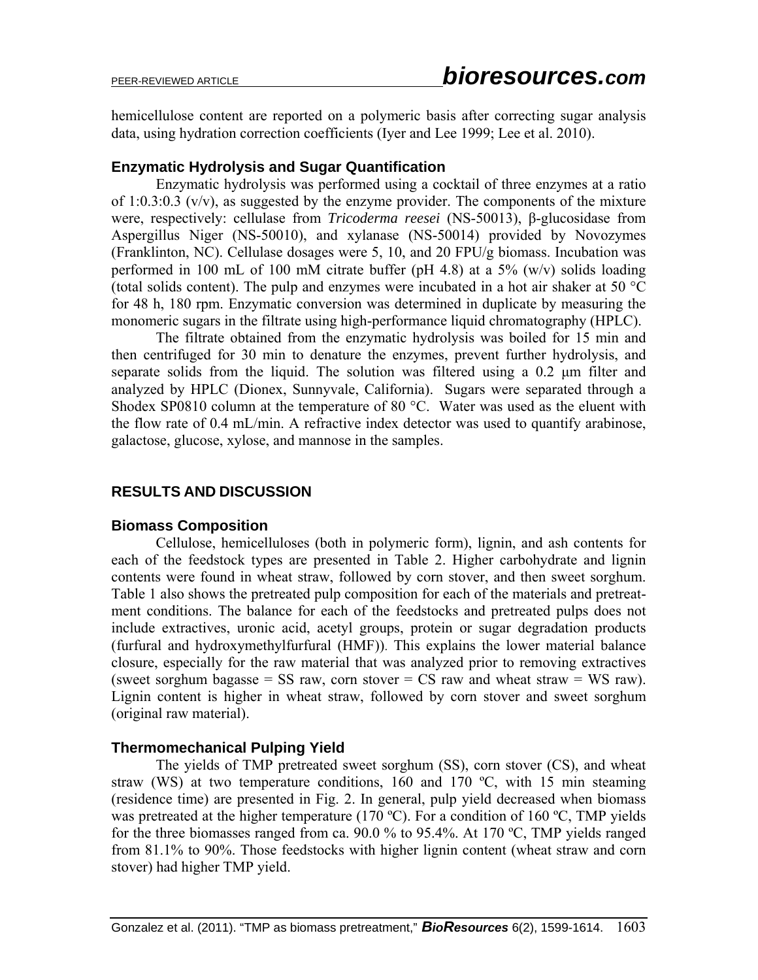hemicellulose content are reported on a polymeric basis after correcting sugar analysis data, using hydration correction coefficients (Iyer and Lee 1999; Lee et al. 2010).

### **Enzymatic Hydrolysis and Sugar Quantification**

 Enzymatic hydrolysis was performed using a cocktail of three enzymes at a ratio of 1:0.3:0.3 (v/v), as suggested by the enzyme provider. The components of the mixture were, respectively: cellulase from *Tricoderma reesei* (NS-50013), β-glucosidase from Aspergillus Niger (NS-50010), and xylanase (NS-50014) provided by Novozymes (Franklinton, NC). Cellulase dosages were 5, 10, and 20 FPU/g biomass. Incubation was performed in 100 mL of 100 mM citrate buffer (pH 4.8) at a 5% (w/v) solids loading (total solids content). The pulp and enzymes were incubated in a hot air shaker at 50 °C for 48 h, 180 rpm. Enzymatic conversion was determined in duplicate by measuring the monomeric sugars in the filtrate using high-performance liquid chromatography (HPLC).

 The filtrate obtained from the enzymatic hydrolysis was boiled for 15 min and then centrifuged for 30 min to denature the enzymes, prevent further hydrolysis, and separate solids from the liquid. The solution was filtered using a 0.2 μm filter and analyzed by HPLC (Dionex, Sunnyvale, California). Sugars were separated through a Shodex SP0810 column at the temperature of 80  $^{\circ}$ C. Water was used as the eluent with the flow rate of 0.4 mL/min. A refractive index detector was used to quantify arabinose, galactose, glucose, xylose, and mannose in the samples.

# **RESULTS AND DISCUSSION**

### **Biomass Composition**

 Cellulose, hemicelluloses (both in polymeric form), lignin, and ash contents for each of the feedstock types are presented in Table 2. Higher carbohydrate and lignin contents were found in wheat straw, followed by corn stover, and then sweet sorghum. Table 1 also shows the pretreated pulp composition for each of the materials and pretreatment conditions. The balance for each of the feedstocks and pretreated pulps does not include extractives, uronic acid, acetyl groups, protein or sugar degradation products (furfural and hydroxymethylfurfural (HMF)). This explains the lower material balance closure, especially for the raw material that was analyzed prior to removing extractives (sweet sorghum bagasse = SS raw, corn stover = CS raw and wheat straw = WS raw). Lignin content is higher in wheat straw, followed by corn stover and sweet sorghum (original raw material).

### **Thermomechanical Pulping Yield**

 The yields of TMP pretreated sweet sorghum (SS), corn stover (CS), and wheat straw (WS) at two temperature conditions, 160 and 170  $^{\circ}$ C, with 15 min steaming (residence time) are presented in Fig. 2. In general, pulp yield decreased when biomass was pretreated at the higher temperature (170 °C). For a condition of 160 °C, TMP yields for the three biomasses ranged from ca. 90.0 % to 95.4%. At 170 ºC, TMP yields ranged from 81.1% to 90%. Those feedstocks with higher lignin content (wheat straw and corn stover) had higher TMP yield.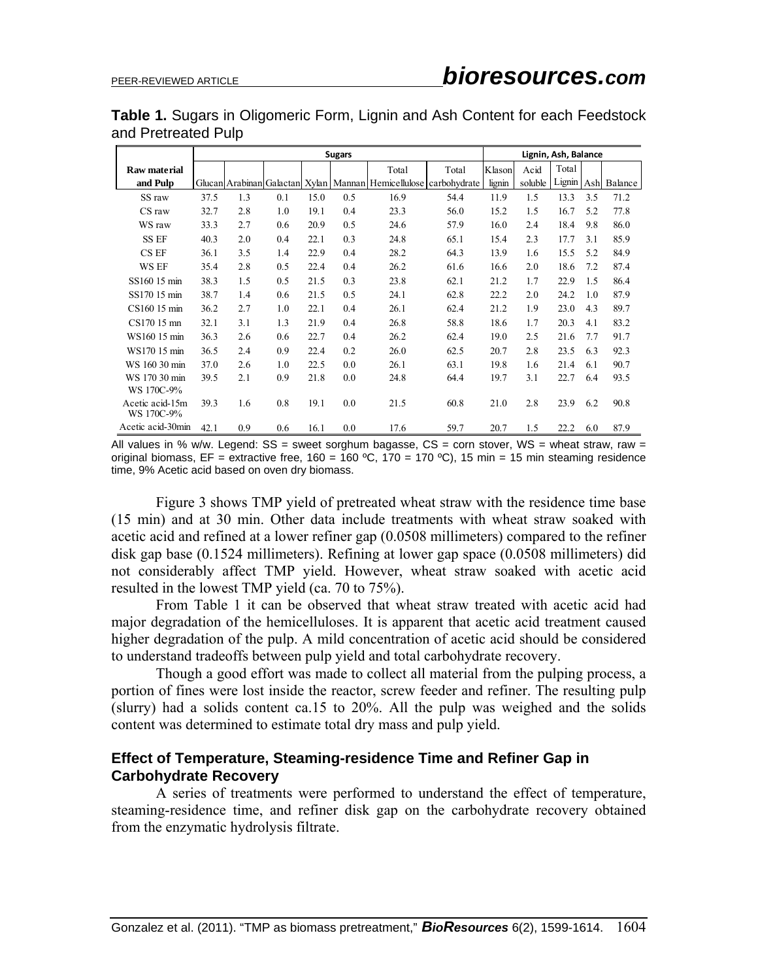**Table 1.** Sugars in Oligomeric Form, Lignin and Ash Content for each Feedstock and Pretreated Pulp

|                               |      |     | Lignin, Ash, Balance |      |     |                                                                  |       |        |         |        |     |         |
|-------------------------------|------|-----|----------------------|------|-----|------------------------------------------------------------------|-------|--------|---------|--------|-----|---------|
| Raw material                  |      |     |                      |      |     | Total                                                            | Total | Klason | Acid    | Total  |     |         |
| and Pulp                      |      |     |                      |      |     | Glucan Arabinan Galactan Xylan Mannan Hemicellulose carbohydrate |       | lignin | soluble | Lignin | Ash | Balance |
| SS raw                        | 37.5 | 1.3 | 0.1                  | 15.0 | 0.5 | 16.9                                                             | 54.4  | 11.9   | 1.5     | 13.3   | 3.5 | 71.2    |
| CS raw                        | 32.7 | 2.8 | 1.0                  | 19.1 | 0.4 | 23.3                                                             | 56.0  | 15.2   | 1.5     | 16.7   | 5.2 | 77.8    |
| WS raw                        | 33.3 | 2.7 | 0.6                  | 20.9 | 0.5 | 24.6                                                             | 57.9  | 16.0   | 2.4     | 18.4   | 9.8 | 86.0    |
| <b>SS EF</b>                  | 40.3 | 2.0 | 0.4                  | 22.1 | 0.3 | 24.8                                                             | 65.1  | 15.4   | 2.3     | 17.7   | 3.1 | 85.9    |
| CS EF                         | 36.1 | 3.5 | 1.4                  | 22.9 | 0.4 | 28.2                                                             | 64.3  | 13.9   | 1.6     | 15.5   | 5.2 | 84.9    |
| WS EF                         | 35.4 | 2.8 | 0.5                  | 22.4 | 0.4 | 26.2                                                             | 61.6  | 16.6   | 2.0     | 18.6   | 7.2 | 87.4    |
| SS160 15 min                  | 38.3 | 1.5 | 0.5                  | 21.5 | 0.3 | 23.8                                                             | 62.1  | 21.2   | 1.7     | 22.9   | 1.5 | 86.4    |
| SS170 15 min                  | 38.7 | 1.4 | 0.6                  | 21.5 | 0.5 | 24.1                                                             | 62.8  | 22.2   | 2.0     | 24.2   | 1.0 | 87.9    |
| CS160 15 min                  | 36.2 | 2.7 | 1.0                  | 22.1 | 0.4 | 26.1                                                             | 62.4  | 21.2   | 1.9     | 23.0   | 4.3 | 89.7    |
| CS170 15 mm                   | 32.1 | 3.1 | 1.3                  | 21.9 | 0.4 | 26.8                                                             | 58.8  | 18.6   | 1.7     | 20.3   | 4.1 | 83.2    |
| WS160 15 min                  | 36.3 | 2.6 | 0.6                  | 22.7 | 0.4 | 26.2                                                             | 62.4  | 19.0   | 2.5     | 21.6   | 7.7 | 91.7    |
| WS170 15 min                  | 36.5 | 2.4 | 0.9                  | 22.4 | 0.2 | 26.0                                                             | 62.5  | 20.7   | 2.8     | 23.5   | 6.3 | 92.3    |
| WS 160 30 min                 | 37.0 | 2.6 | 1.0                  | 22.5 | 0.0 | 26.1                                                             | 63.1  | 19.8   | 1.6     | 21.4   | 6.1 | 90.7    |
| WS 170 30 min                 | 39.5 | 2.1 | 0.9                  | 21.8 | 0.0 | 24.8                                                             | 64.4  | 19.7   | 3.1     | 22.7   | 6.4 | 93.5    |
| WS 170C-9%                    |      |     |                      |      |     |                                                                  |       |        |         |        |     |         |
| Acetic acid-15m<br>WS 170C-9% | 39.3 | 1.6 | 0.8                  | 19.1 | 0.0 | 21.5                                                             | 60.8  | 21.0   | 2.8     | 23.9   | 6.2 | 90.8    |
| Acetic acid-30min             | 42.1 | 0.9 | 0.6                  | 16.1 | 0.0 | 17.6                                                             | 59.7  | 20.7   | 1.5     | 22.2   | 6.0 | 87.9    |

All values in % w/w. Legend:  $SS =$  sweet sorghum bagasse,  $CS =$  corn stover,  $WS =$  wheat straw, raw = original biomass,  $EF =$  extractive free,  $160 = 160$  °C,  $170 = 170$  °C), 15 min = 15 min steaming residence time, 9% Acetic acid based on oven dry biomass.

Figure 3 shows TMP yield of pretreated wheat straw with the residence time base (15 min) and at 30 min. Other data include treatments with wheat straw soaked with acetic acid and refined at a lower refiner gap (0.0508 millimeters) compared to the refiner disk gap base (0.1524 millimeters). Refining at lower gap space (0.0508 millimeters) did not considerably affect TMP yield. However, wheat straw soaked with acetic acid resulted in the lowest TMP yield (ca. 70 to 75%).

From Table 1 it can be observed that wheat straw treated with acetic acid had major degradation of the hemicelluloses. It is apparent that acetic acid treatment caused higher degradation of the pulp. A mild concentration of acetic acid should be considered to understand tradeoffs between pulp yield and total carbohydrate recovery.

Though a good effort was made to collect all material from the pulping process, a portion of fines were lost inside the reactor, screw feeder and refiner. The resulting pulp (slurry) had a solids content ca.15 to 20%. All the pulp was weighed and the solids content was determined to estimate total dry mass and pulp yield.

### **Effect of Temperature, Steaming-residence Time and Refiner Gap in Carbohydrate Recovery**

 A series of treatments were performed to understand the effect of temperature, steaming-residence time, and refiner disk gap on the carbohydrate recovery obtained from the enzymatic hydrolysis filtrate.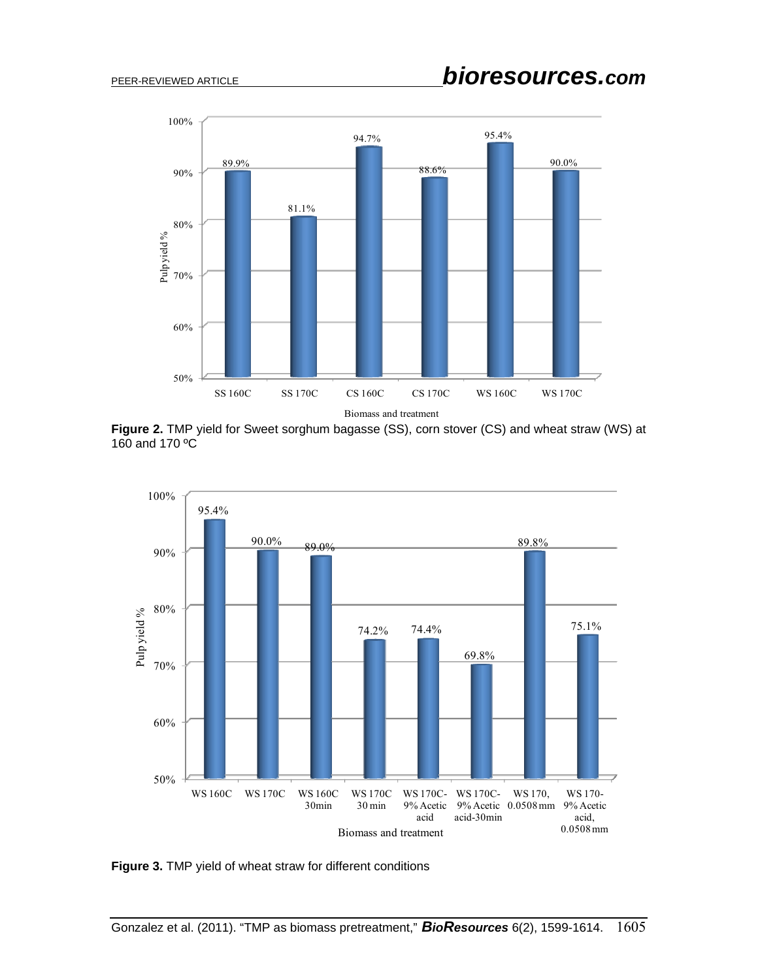

**Figure 2.** TMP yield for Sweet sorghum bagasse (SS), corn stover (CS) and wheat straw (WS) at 160 and 170 ºC



**Figure 3.** TMP yield of wheat straw for different conditions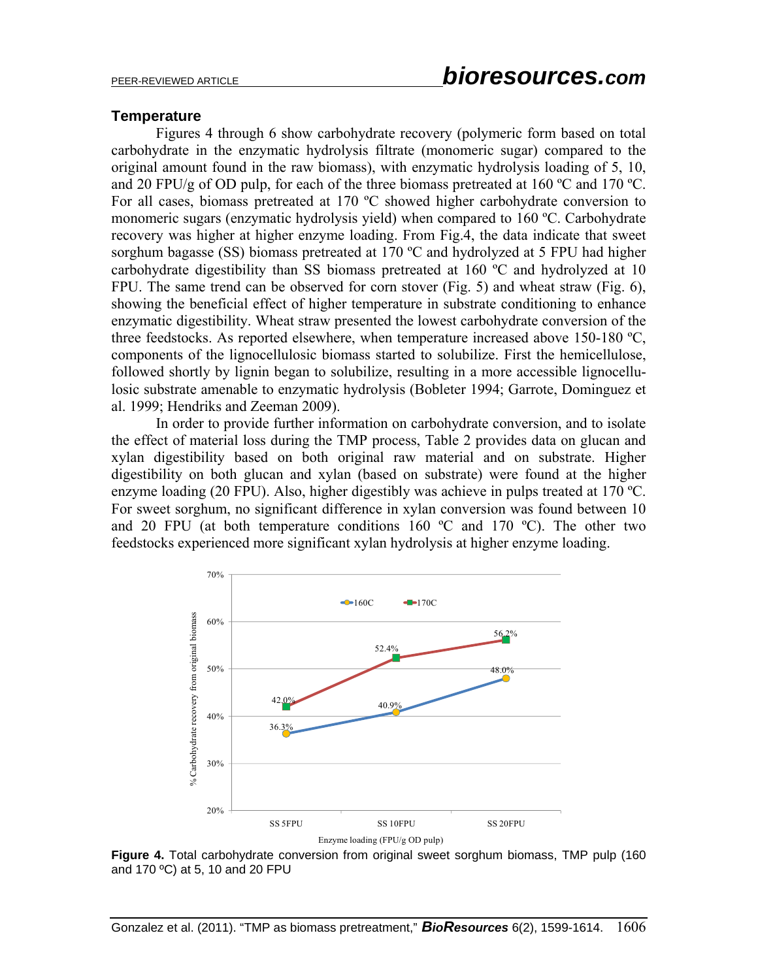#### **Temperature**

 Figures 4 through 6 show carbohydrate recovery (polymeric form based on total carbohydrate in the enzymatic hydrolysis filtrate (monomeric sugar) compared to the original amount found in the raw biomass), with enzymatic hydrolysis loading of 5, 10, and 20 FPU/g of OD pulp, for each of the three biomass pretreated at 160  $^{\circ}$ C and 170  $^{\circ}$ C. For all cases, biomass pretreated at 170 ºC showed higher carbohydrate conversion to monomeric sugars (enzymatic hydrolysis yield) when compared to 160 ºC. Carbohydrate recovery was higher at higher enzyme loading. From Fig.4, the data indicate that sweet sorghum bagasse (SS) biomass pretreated at 170 °C and hydrolyzed at 5 FPU had higher carbohydrate digestibility than SS biomass pretreated at 160 ºC and hydrolyzed at 10 FPU. The same trend can be observed for corn stover (Fig. 5) and wheat straw (Fig. 6), showing the beneficial effect of higher temperature in substrate conditioning to enhance enzymatic digestibility. Wheat straw presented the lowest carbohydrate conversion of the three feedstocks. As reported elsewhere, when temperature increased above 150-180 ºC, components of the lignocellulosic biomass started to solubilize. First the hemicellulose, followed shortly by lignin began to solubilize, resulting in a more accessible lignocellulosic substrate amenable to enzymatic hydrolysis (Bobleter 1994; Garrote, Dominguez et al. 1999; Hendriks and Zeeman 2009).

In order to provide further information on carbohydrate conversion, and to isolate the effect of material loss during the TMP process, Table 2 provides data on glucan and xylan digestibility based on both original raw material and on substrate. Higher digestibility on both glucan and xylan (based on substrate) were found at the higher enzyme loading (20 FPU). Also, higher digestibly was achieve in pulps treated at 170 ºC. For sweet sorghum, no significant difference in xylan conversion was found between 10 and 20 FPU (at both temperature conditions  $160^{\circ}$ C and  $170^{\circ}$ C). The other two feedstocks experienced more significant xylan hydrolysis at higher enzyme loading.



**Figure 4.** Total carbohydrate conversion from original sweet sorghum biomass, TMP pulp (160 and 170 ºC) at 5, 10 and 20 FPU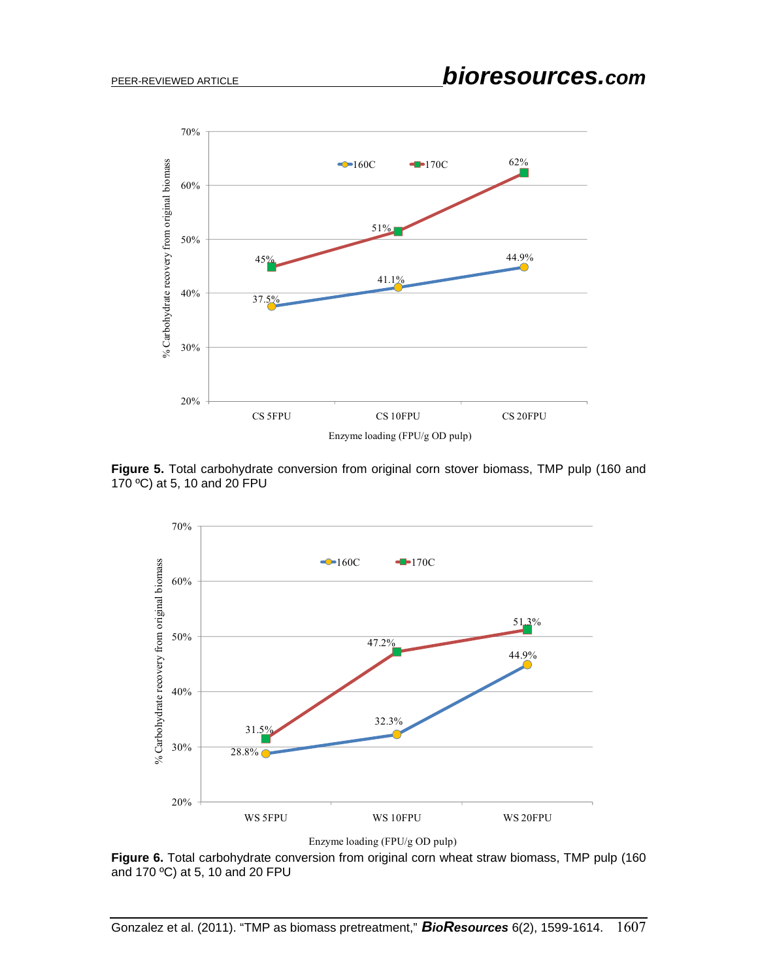

**Figure 5.** Total carbohydrate conversion from original corn stover biomass, TMP pulp (160 and 170 ºC) at 5, 10 and 20 FPU



Enzyme loading (FPU/g OD pulp)

**Figure 6.** Total carbohydrate conversion from original corn wheat straw biomass, TMP pulp (160 and 170 ºC) at 5, 10 and 20 FPU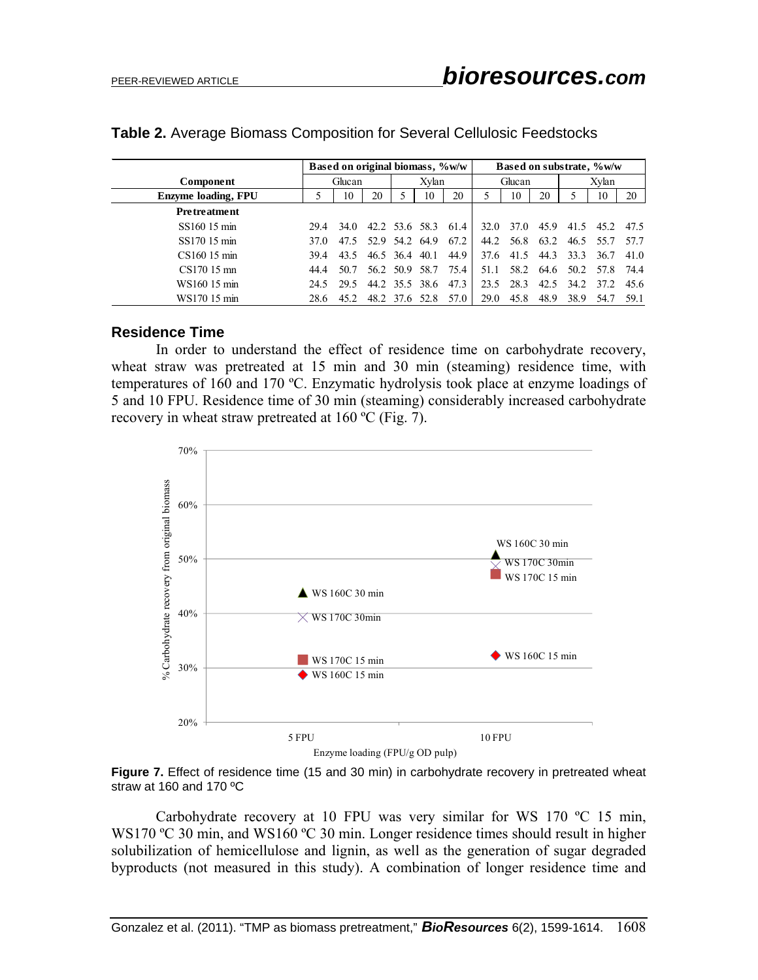|                            | Based on original biomass, %w/w |      |    |                |                | Based on substrate, %w/w |        |      |           |                |           |      |
|----------------------------|---------------------------------|------|----|----------------|----------------|--------------------------|--------|------|-----------|----------------|-----------|------|
| Component                  | Glucan                          |      |    | Xvlan          |                |                          | Glucan |      |           | Xylan          |           |      |
| <b>Enzyme loading, FPU</b> |                                 | 10   | 20 |                | 10             | 20                       |        | 10   | 20        |                | 10        | 20   |
| <b>Pretreatment</b>        |                                 |      |    |                |                |                          |        |      |           |                |           |      |
| SS160 15 min               | 29.4                            | 34.0 |    | 42.2 53.6 58.3 |                | 61.4                     | 32.0   | 37.0 | 45.9      | 41.5           | 452       | 475  |
| SS170 15 min               | 37.O                            | 47.5 |    |                | 52.9 54.2 64.9 | 67.2                     | 44.2   |      | 56.8 63.2 |                | 46.5 55.7 | 57.7 |
| $CS16015 \text{ min}$      | 39.4                            | 43.5 |    | 46.5 36.4      | 40.1           | 44.9                     | 37.6   | 41.5 | 44.3      | 33.3           | 36.7      | 41.0 |
| $CS17015$ mn               | 44.4                            | 50.7 |    | 56.2 50.9 58.7 |                | 75.4                     | 51.1   |      | 58.2 64.6 |                | 50.2 57.8 | -744 |
| WS160 15 min               | 24.5                            | 29.5 |    |                | 44.2 35.5 38.6 | 47.3                     | 23.5   | 28.3 |           | 42.5 34.2 37.2 |           | 45.6 |
| WS170 15 min               | 28.6                            | 45.2 |    | 48.2 37.6      | 52.8           | 57.0                     | 29.0   | 45.8 | 48.9      | 38.9           | 54.7      | 59.1 |

#### **Table 2.** Average Biomass Composition for Several Cellulosic Feedstocks

#### **Residence Time**

 In order to understand the effect of residence time on carbohydrate recovery, wheat straw was pretreated at 15 min and 30 min (steaming) residence time, with temperatures of 160 and 170 ºC. Enzymatic hydrolysis took place at enzyme loadings of 5 and 10 FPU. Residence time of 30 min (steaming) considerably increased carbohydrate recovery in wheat straw pretreated at 160 ºC (Fig. 7).



**Figure 7.** Effect of residence time (15 and 30 min) in carbohydrate recovery in pretreated wheat straw at 160 and 170 ºC

Carbohydrate recovery at 10 FPU was very similar for WS 170 ºC 15 min, WS170 °C 30 min, and WS160 °C 30 min. Longer residence times should result in higher solubilization of hemicellulose and lignin, as well as the generation of sugar degraded byproducts (not measured in this study). A combination of longer residence time and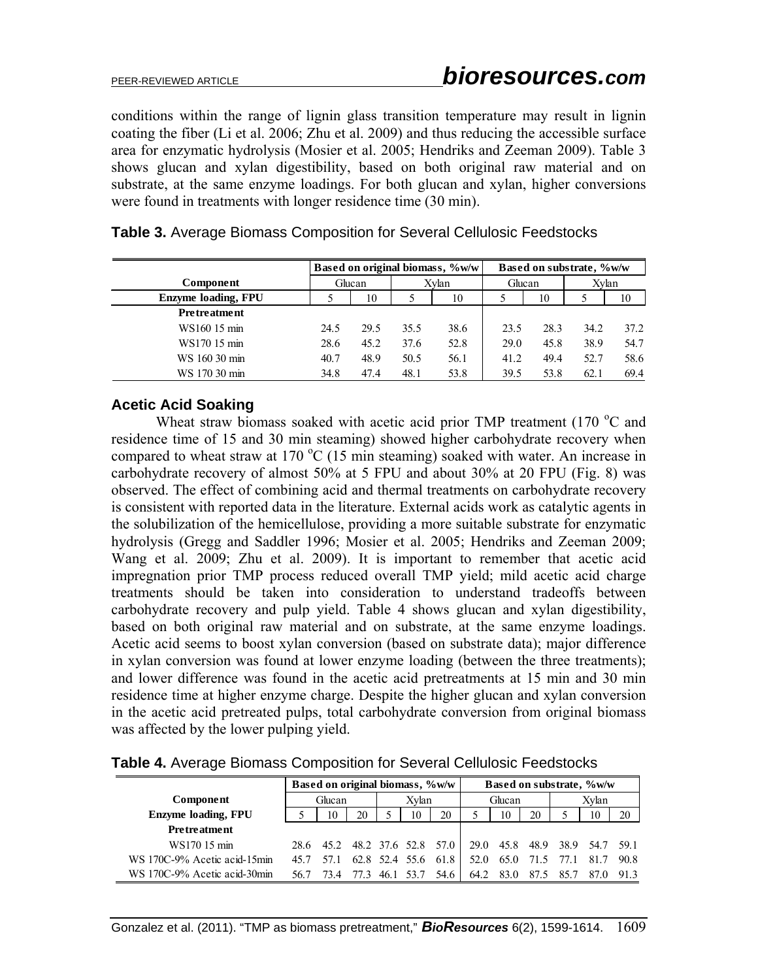conditions within the range of lignin glass transition temperature may result in lignin coating the fiber (Li et al. 2006; Zhu et al. 2009) and thus reducing the accessible surface area for enzymatic hydrolysis (Mosier et al. 2005; Hendriks and Zeeman 2009). Table 3 shows glucan and xylan digestibility, based on both original raw material and on substrate, at the same enzyme loadings. For both glucan and xylan, higher conversions were found in treatments with longer residence time (30 min).

|                            |        |      |      | Based on original biomass, %w/w | Based on substrate, %w/w |      |       |      |  |  |
|----------------------------|--------|------|------|---------------------------------|--------------------------|------|-------|------|--|--|
| Component                  | Glucan |      |      | Xvlan                           | Glucan                   |      | Xvlan |      |  |  |
| <b>Enzyme loading, FPU</b> |        | 10   |      | 10                              |                          | 10   |       | 10   |  |  |
| <b>Pretreatment</b>        |        |      |      |                                 |                          |      |       |      |  |  |
| WS160 15 min               | 24.5   | 29.5 | 35.5 | 38.6                            | 23.5                     | 28.3 | 34.2  | 37.2 |  |  |
| WS170 15 min               | 28.6   | 45.2 | 37.6 | 52.8                            | 29.0                     | 45.8 | 38.9  | 54.7 |  |  |
| WS 160 30 min              | 40.7   | 48.9 | 50.5 | 56.1                            | 41.2                     | 49.4 | 52.7  | 58.6 |  |  |
| WS 170 30 min              | 34.8   | 47.4 | 48.1 | 53.8                            | 39.5                     | 53.8 | 62.1  | 69.4 |  |  |

### **Table 3.** Average Biomass Composition for Several Cellulosic Feedstocks

### **Acetic Acid Soaking**

Wheat straw biomass soaked with acetic acid prior TMP treatment (170 $\degree$ C and residence time of 15 and 30 min steaming) showed higher carbohydrate recovery when compared to wheat straw at 170  $\rm{^{\circ}C}$  (15 min steaming) soaked with water. An increase in carbohydrate recovery of almost 50% at 5 FPU and about 30% at 20 FPU (Fig. 8) was observed. The effect of combining acid and thermal treatments on carbohydrate recovery is consistent with reported data in the literature. External acids work as catalytic agents in the solubilization of the hemicellulose, providing a more suitable substrate for enzymatic hydrolysis (Gregg and Saddler 1996; Mosier et al. 2005; Hendriks and Zeeman 2009; Wang et al. 2009; Zhu et al. 2009). It is important to remember that acetic acid impregnation prior TMP process reduced overall TMP yield; mild acetic acid charge treatments should be taken into consideration to understand tradeoffs between carbohydrate recovery and pulp yield. Table 4 shows glucan and xylan digestibility, based on both original raw material and on substrate, at the same enzyme loadings. Acetic acid seems to boost xylan conversion (based on substrate data); major difference in xylan conversion was found at lower enzyme loading (between the three treatments); and lower difference was found in the acetic acid pretreatments at 15 min and 30 min residence time at higher enzyme charge. Despite the higher glucan and xylan conversion in the acetic acid pretreated pulps, total carbohydrate conversion from original biomass was affected by the lower pulping yield.

|                              | Based on original biomass, %w/w |           |     |       |      |                     |        | Based on substrate, %w/w |      |                |                               |      |  |  |
|------------------------------|---------------------------------|-----------|-----|-------|------|---------------------|--------|--------------------------|------|----------------|-------------------------------|------|--|--|
| Component                    | Glucan                          |           |     | Xvlan |      |                     | Glucan |                          |      | Xvlan          |                               |      |  |  |
| <b>Enzyme loading, FPU</b>   |                                 | 10        | 20  |       | 10   | 20                  |        | 10                       | 20   |                | 10                            | 20   |  |  |
| <b>Pretreatment</b>          |                                 |           |     |       |      |                     |        |                          |      |                |                               |      |  |  |
| WS170 15 min                 |                                 | 28.6 45.2 |     |       |      | 48.2 37.6 52.8 57.0 |        |                          |      |                | 29.0 45.8 48.9 38.9 54.7 59.1 |      |  |  |
| WS 170C-9% Acetic acid-15min | 45.7                            | 57 1      |     |       |      | 62.8 52.4 55.6 61.8 | 52.0   |                          |      | 65.0 71.5 77.1 | 81.7                          | 90.8 |  |  |
| WS 170C-9% Acetic acid-30min | 56.7                            |           | 773 | 46.1  | 53.7 | 54.6                | 64.2   | 83.0                     | 87.5 | 85.7           | 87.0                          | 913  |  |  |

**Table 4.** Average Biomass Composition for Several Cellulosic Feedstocks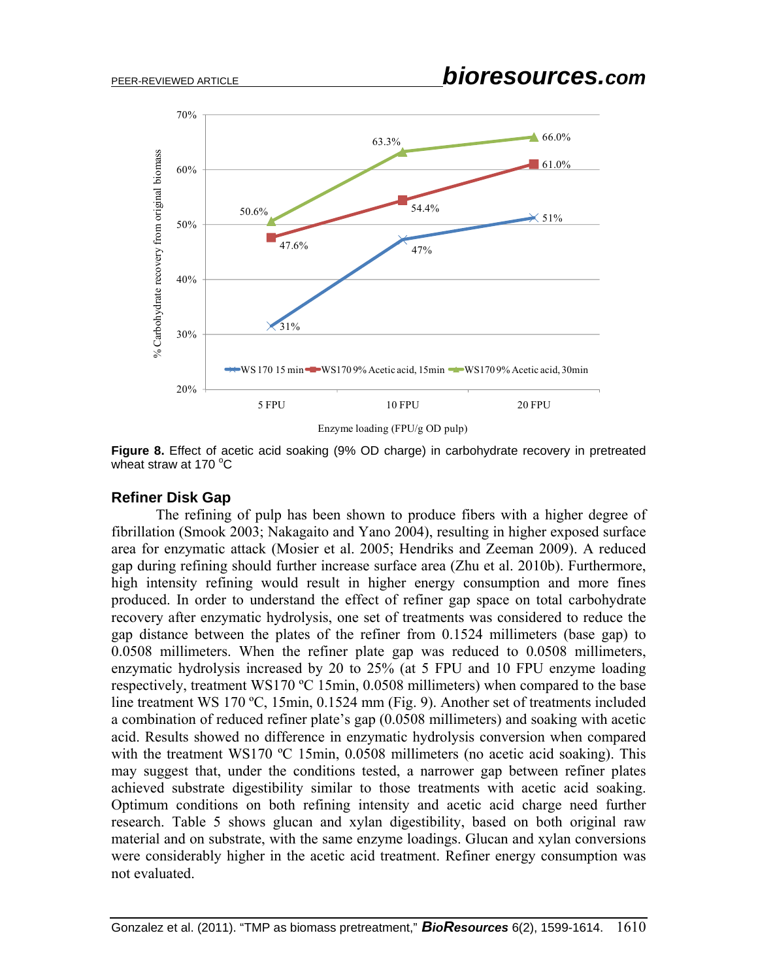

Enzyme loading (FPU/g OD pulp)

**Figure 8.** Effect of acetic acid soaking (9% OD charge) in carbohydrate recovery in pretreated wheat straw at 170 $\mathrm{^{\circ}C}$ 

#### **Refiner Disk Gap**

 The refining of pulp has been shown to produce fibers with a higher degree of fibrillation (Smook 2003; Nakagaito and Yano 2004), resulting in higher exposed surface area for enzymatic attack (Mosier et al. 2005; Hendriks and Zeeman 2009). A reduced gap during refining should further increase surface area (Zhu et al. 2010b). Furthermore, high intensity refining would result in higher energy consumption and more fines produced. In order to understand the effect of refiner gap space on total carbohydrate recovery after enzymatic hydrolysis, one set of treatments was considered to reduce the gap distance between the plates of the refiner from 0.1524 millimeters (base gap) to 0.0508 millimeters. When the refiner plate gap was reduced to 0.0508 millimeters, enzymatic hydrolysis increased by 20 to 25% (at 5 FPU and 10 FPU enzyme loading respectively, treatment WS170 ºC 15min, 0.0508 millimeters) when compared to the base line treatment WS 170 ºC, 15min, 0.1524 mm (Fig. 9). Another set of treatments included a combination of reduced refiner plate's gap (0.0508 millimeters) and soaking with acetic acid. Results showed no difference in enzymatic hydrolysis conversion when compared with the treatment WS170 °C 15min, 0.0508 millimeters (no acetic acid soaking). This may suggest that, under the conditions tested, a narrower gap between refiner plates achieved substrate digestibility similar to those treatments with acetic acid soaking. Optimum conditions on both refining intensity and acetic acid charge need further research. Table 5 shows glucan and xylan digestibility, based on both original raw material and on substrate, with the same enzyme loadings. Glucan and xylan conversions were considerably higher in the acetic acid treatment. Refiner energy consumption was not evaluated.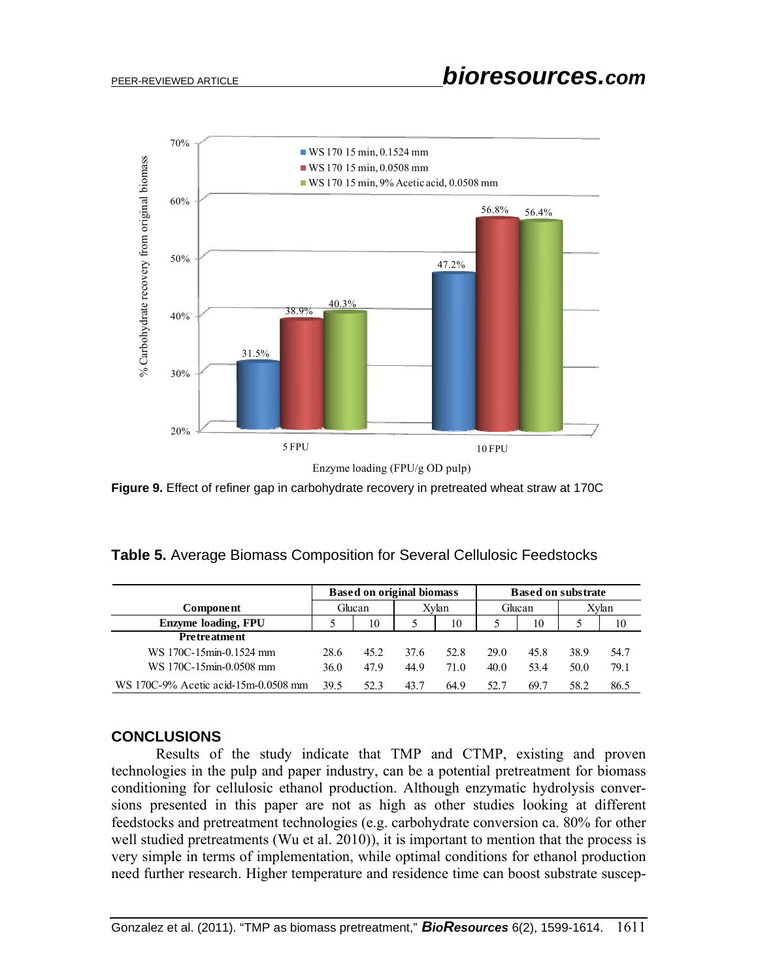

**Figure 9.** Effect of refiner gap in carbohydrate recovery in pretreated wheat straw at 170C

|  |  | Table 5. Average Biomass Composition for Several Cellulosic Feedstocks |
|--|--|------------------------------------------------------------------------|
|--|--|------------------------------------------------------------------------|

|                                      |        | <b>Based on original biomass</b> |       |      | <b>Based on substrate</b> |      |       |      |  |
|--------------------------------------|--------|----------------------------------|-------|------|---------------------------|------|-------|------|--|
| <b>Component</b>                     | Glucan |                                  | Xvlan |      | Glucan                    |      | Xvlan |      |  |
| <b>Enzyme loading, FPU</b>           |        | 10                               |       | 10   |                           | 10   |       | 10   |  |
| <b>Pretreatment</b>                  |        |                                  |       |      |                           |      |       |      |  |
| WS 170C-15min-0.1524 mm              | 28.6   | 45.2                             | 37.6  | 52.8 | 29.0                      | 45.8 | 38.9  | 54.7 |  |
| WS 170C-15min-0.0508 mm              | 36.0   | 479                              | 44.9  | 71 Q | 40.0                      | 53.4 | 50.0  | 79.1 |  |
| WS 170C-9% Acetic acid-15m-0.0508 mm | 39.5   | 52.3                             | 43.7  | 64.9 | 52.7                      | 69.7 | 58.2  | 86.5 |  |

#### **CONCLUSIONS**

 Results of the study indicate that TMP and CTMP, existing and proven technologies in the pulp and paper industry, can be a potential pretreatment for biomass conditioning for cellulosic ethanol production. Although enzymatic hydrolysis conversions presented in this paper are not as high as other studies looking at different feedstocks and pretreatment technologies (e.g. carbohydrate conversion ca. 80% for other well studied pretreatments (Wu et al. 2010)), it is important to mention that the process is very simple in terms of implementation, while optimal conditions for ethanol production need further research. Higher temperature and residence time can boost substrate suscep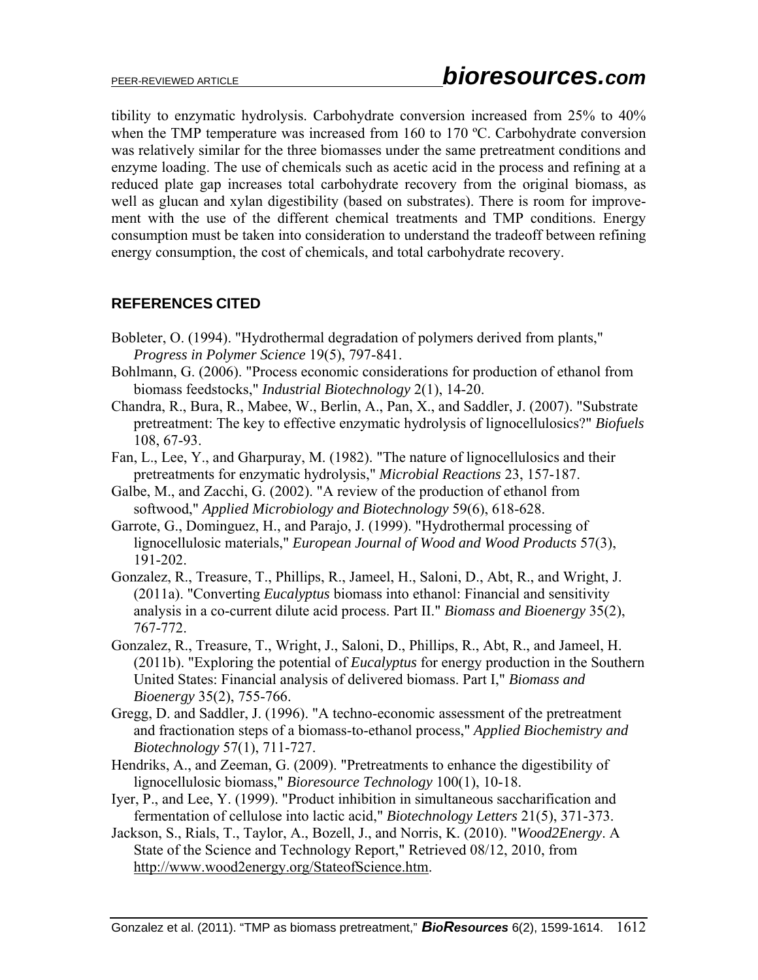tibility to enzymatic hydrolysis. Carbohydrate conversion increased from 25% to 40% when the TMP temperature was increased from 160 to 170 °C. Carbohydrate conversion was relatively similar for the three biomasses under the same pretreatment conditions and enzyme loading. The use of chemicals such as acetic acid in the process and refining at a reduced plate gap increases total carbohydrate recovery from the original biomass, as well as glucan and xylan digestibility (based on substrates). There is room for improvement with the use of the different chemical treatments and TMP conditions. Energy consumption must be taken into consideration to understand the tradeoff between refining energy consumption, the cost of chemicals, and total carbohydrate recovery.

## **REFERENCES CITED**

- Bobleter, O. (1994). "Hydrothermal degradation of polymers derived from plants," *Progress in Polymer Science* 19(5), 797-841.
- Bohlmann, G. (2006). "Process economic considerations for production of ethanol from biomass feedstocks," *Industrial Biotechnology* 2(1), 14-20.
- Chandra, R., Bura, R., Mabee, W., Berlin, A., Pan, X., and Saddler, J. (2007). "Substrate pretreatment: The key to effective enzymatic hydrolysis of lignocellulosics?" *Biofuels* 108, 67-93.
- Fan, L., Lee, Y., and Gharpuray, M. (1982). "The nature of lignocellulosics and their pretreatments for enzymatic hydrolysis," *Microbial Reactions* 23, 157-187.
- Galbe, M., and Zacchi, G. (2002). "A review of the production of ethanol from softwood," *Applied Microbiology and Biotechnology* 59(6), 618-628.
- Garrote, G., Dominguez, H., and Parajo, J. (1999). "Hydrothermal processing of lignocellulosic materials," *European Journal of Wood and Wood Products* 57(3), 191-202.
- Gonzalez, R., Treasure, T., Phillips, R., Jameel, H., Saloni, D., Abt, R., and Wright, J. (2011a). "Converting *Eucalyptus* biomass into ethanol: Financial and sensitivity analysis in a co-current dilute acid process. Part II." *Biomass and Bioenergy* 35(2), 767-772.
- Gonzalez, R., Treasure, T., Wright, J., Saloni, D., Phillips, R., Abt, R., and Jameel, H. (2011b). "Exploring the potential of *Eucalyptus* for energy production in the Southern United States: Financial analysis of delivered biomass. Part I," *Biomass and Bioenergy* 35(2), 755-766.
- Gregg, D. and Saddler, J. (1996). "A techno-economic assessment of the pretreatment and fractionation steps of a biomass-to-ethanol process," *Applied Biochemistry and Biotechnology* 57(1), 711-727.
- Hendriks, A., and Zeeman, G. (2009). "Pretreatments to enhance the digestibility of lignocellulosic biomass," *Bioresource Technology* 100(1), 10-18.
- Iyer, P., and Lee, Y. (1999). "Product inhibition in simultaneous saccharification and fermentation of cellulose into lactic acid," *Biotechnology Letters* 21(5), 371-373.
- Jackson, S., Rials, T., Taylor, A., Bozell, J., and Norris, K. (2010). "*Wood2Energy*. A State of the Science and Technology Report," Retrieved 08/12, 2010, from http://www.wood2energy.org/StateofScience.htm.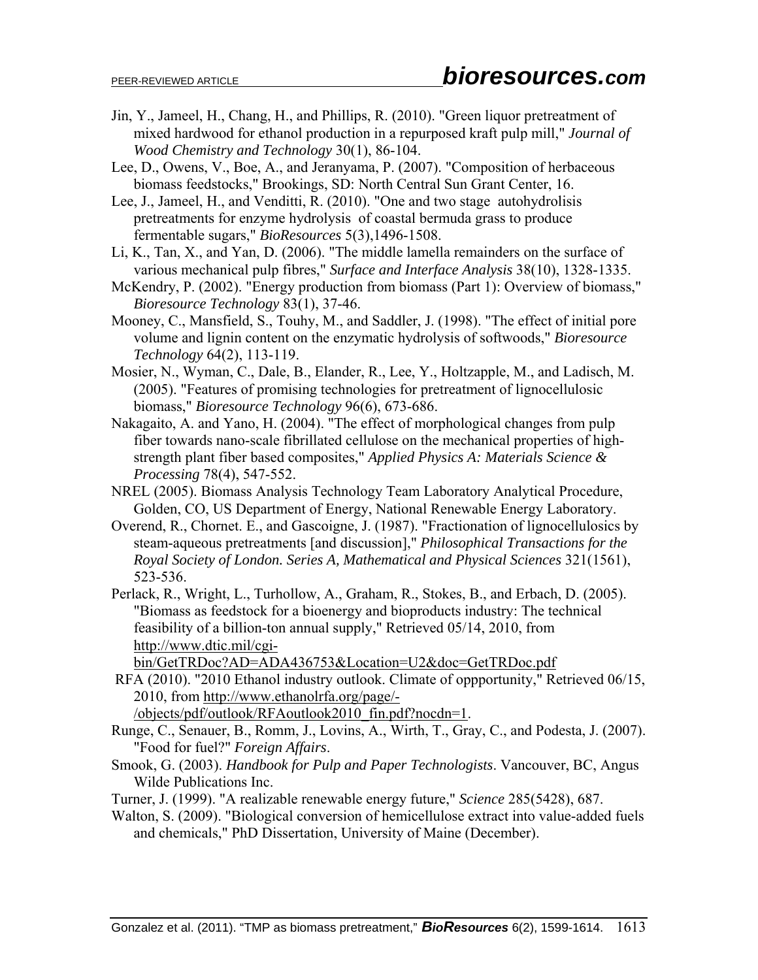- Jin, Y., Jameel, H., Chang, H., and Phillips, R. (2010). "Green liquor pretreatment of mixed hardwood for ethanol production in a repurposed kraft pulp mill," *Journal of Wood Chemistry and Technology* 30(1), 86-104.
- Lee, D., Owens, V., Boe, A., and Jeranyama, P. (2007). "Composition of herbaceous biomass feedstocks," Brookings, SD: North Central Sun Grant Center, 16.

Lee, J., Jameel, H., and Venditti, R. (2010). "One and two stage autohydrolisis pretreatments for enzyme hydrolysis of coastal bermuda grass to produce fermentable sugars," *BioResources* 5(3),1496-1508.

- Li, K., Tan, X., and Yan, D. (2006). "The middle lamella remainders on the surface of various mechanical pulp fibres," *Surface and Interface Analysis* 38(10), 1328-1335.
- McKendry, P. (2002). "Energy production from biomass (Part 1): Overview of biomass," *Bioresource Technology* 83(1), 37-46.
- Mooney, C., Mansfield, S., Touhy, M., and Saddler, J. (1998). "The effect of initial pore volume and lignin content on the enzymatic hydrolysis of softwoods," *Bioresource Technology* 64(2), 113-119.
- Mosier, N., Wyman, C., Dale, B., Elander, R., Lee, Y., Holtzapple, M., and Ladisch, M. (2005). "Features of promising technologies for pretreatment of lignocellulosic biomass," *Bioresource Technology* 96(6), 673-686.
- Nakagaito, A. and Yano, H. (2004). "The effect of morphological changes from pulp fiber towards nano-scale fibrillated cellulose on the mechanical properties of highstrength plant fiber based composites," *Applied Physics A: Materials Science & Processing* 78(4), 547-552.
- NREL (2005). Biomass Analysis Technology Team Laboratory Analytical Procedure, Golden, CO, US Department of Energy, National Renewable Energy Laboratory.
- Overend, R., Chornet. E., and Gascoigne, J. (1987). "Fractionation of lignocellulosics by steam-aqueous pretreatments [and discussion]," *Philosophical Transactions for the Royal Society of London. Series A, Mathematical and Physical Sciences* 321(1561), 523-536.

Perlack, R., Wright, L., Turhollow, A., Graham, R., Stokes, B., and Erbach, D. (2005). "Biomass as feedstock for a bioenergy and bioproducts industry: The technical feasibility of a billion-ton annual supply," Retrieved 05/14, 2010, from http://www.dtic.mil/cgi-

bin/GetTRDoc?AD=ADA436753&Location=U2&doc=GetTRDoc.pdf

- RFA (2010). "2010 Ethanol industry outlook. Climate of oppportunity," Retrieved 06/15, 2010, from http://www.ethanolrfa.org/page/- /objects/pdf/outlook/RFAoutlook2010\_fin.pdf?nocdn=1.
- Runge, C., Senauer, B., Romm, J., Lovins, A., Wirth, T., Gray, C., and Podesta, J. (2007). "Food for fuel?" *Foreign Affairs*.
- Smook, G. (2003). *Handbook for Pulp and Paper Technologists*. Vancouver, BC, Angus Wilde Publications Inc.
- Turner, J. (1999). "A realizable renewable energy future," *Science* 285(5428), 687.
- Walton, S. (2009). "Biological conversion of hemicellulose extract into value-added fuels and chemicals," PhD Dissertation, University of Maine (December).